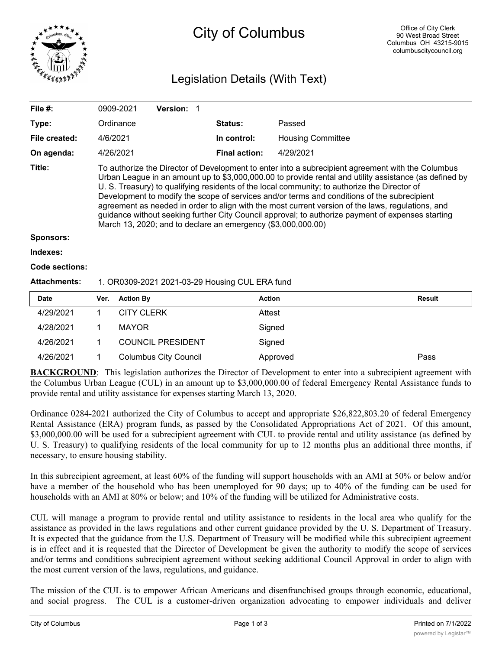

## City of Columbus

## Legislation Details (With Text)

| File $#$ :            |                                                                                                                                                                                                                                                                                                                                                                                                                                                                                                                                                                                                                                                                                      | 0909-2021         | Version: 1                   |  |                      |                          |               |
|-----------------------|--------------------------------------------------------------------------------------------------------------------------------------------------------------------------------------------------------------------------------------------------------------------------------------------------------------------------------------------------------------------------------------------------------------------------------------------------------------------------------------------------------------------------------------------------------------------------------------------------------------------------------------------------------------------------------------|-------------------|------------------------------|--|----------------------|--------------------------|---------------|
| Type:                 |                                                                                                                                                                                                                                                                                                                                                                                                                                                                                                                                                                                                                                                                                      | Ordinance         |                              |  | <b>Status:</b>       | Passed                   |               |
| File created:         | 4/6/2021                                                                                                                                                                                                                                                                                                                                                                                                                                                                                                                                                                                                                                                                             |                   |                              |  | In control:          | <b>Housing Committee</b> |               |
| On agenda:            |                                                                                                                                                                                                                                                                                                                                                                                                                                                                                                                                                                                                                                                                                      | 4/26/2021         |                              |  | <b>Final action:</b> | 4/29/2021                |               |
| Title:                | To authorize the Director of Development to enter into a subrecipient agreement with the Columbus<br>Urban League in an amount up to \$3,000,000.00 to provide rental and utility assistance (as defined by<br>U. S. Treasury) to qualifying residents of the local community; to authorize the Director of<br>Development to modify the scope of services and/or terms and conditions of the subrecipient<br>agreement as needed in order to align with the most current version of the laws, regulations, and<br>guidance without seeking further City Council approval; to authorize payment of expenses starting<br>March 13, 2020; and to declare an emergency (\$3,000,000.00) |                   |                              |  |                      |                          |               |
| <b>Sponsors:</b>      |                                                                                                                                                                                                                                                                                                                                                                                                                                                                                                                                                                                                                                                                                      |                   |                              |  |                      |                          |               |
| Indexes:              |                                                                                                                                                                                                                                                                                                                                                                                                                                                                                                                                                                                                                                                                                      |                   |                              |  |                      |                          |               |
| <b>Code sections:</b> |                                                                                                                                                                                                                                                                                                                                                                                                                                                                                                                                                                                                                                                                                      |                   |                              |  |                      |                          |               |
| <b>Attachments:</b>   | 1. OR0309-2021 2021-03-29 Housing CUL ERA fund                                                                                                                                                                                                                                                                                                                                                                                                                                                                                                                                                                                                                                       |                   |                              |  |                      |                          |               |
| <b>Date</b>           | Ver.                                                                                                                                                                                                                                                                                                                                                                                                                                                                                                                                                                                                                                                                                 | <b>Action By</b>  |                              |  |                      | <b>Action</b>            | <b>Result</b> |
| 4/29/2021             | 1                                                                                                                                                                                                                                                                                                                                                                                                                                                                                                                                                                                                                                                                                    | <b>CITY CLERK</b> |                              |  |                      | Attest                   |               |
| 4/28/2021             | 1                                                                                                                                                                                                                                                                                                                                                                                                                                                                                                                                                                                                                                                                                    | <b>MAYOR</b>      |                              |  |                      | Signed                   |               |
| 4/26/2021             | 1                                                                                                                                                                                                                                                                                                                                                                                                                                                                                                                                                                                                                                                                                    |                   | <b>COUNCIL PRESIDENT</b>     |  |                      | Signed                   |               |
| 4/26/2021             | 1                                                                                                                                                                                                                                                                                                                                                                                                                                                                                                                                                                                                                                                                                    |                   | <b>Columbus City Council</b> |  |                      | Approved                 | Pass          |

**BACKGROUND**: This legislation authorizes the Director of Development to enter into a subrecipient agreement with the Columbus Urban League (CUL) in an amount up to \$3,000,000.00 of federal Emergency Rental Assistance funds to provide rental and utility assistance for expenses starting March 13, 2020.

Ordinance 0284-2021 authorized the City of Columbus to accept and appropriate \$26,822,803.20 of federal Emergency Rental Assistance (ERA) program funds, as passed by the Consolidated Appropriations Act of 2021. Of this amount, \$3,000,000.00 will be used for a subrecipient agreement with CUL to provide rental and utility assistance (as defined by U. S. Treasury) to qualifying residents of the local community for up to 12 months plus an additional three months, if necessary, to ensure housing stability.

In this subrecipient agreement, at least 60% of the funding will support households with an AMI at 50% or below and/or have a member of the household who has been unemployed for 90 days; up to 40% of the funding can be used for households with an AMI at 80% or below; and 10% of the funding will be utilized for Administrative costs.

CUL will manage a program to provide rental and utility assistance to residents in the local area who qualify for the assistance as provided in the laws regulations and other current guidance provided by the U. S. Department of Treasury. It is expected that the guidance from the U.S. Department of Treasury will be modified while this subrecipient agreement is in effect and it is requested that the Director of Development be given the authority to modify the scope of services and/or terms and conditions subrecipient agreement without seeking additional Council Approval in order to align with the most current version of the laws, regulations, and guidance.

The mission of the CUL is to empower African Americans and disenfranchised groups through economic, educational, and social progress. The CUL is a customer-driven organization advocating to empower individuals and deliver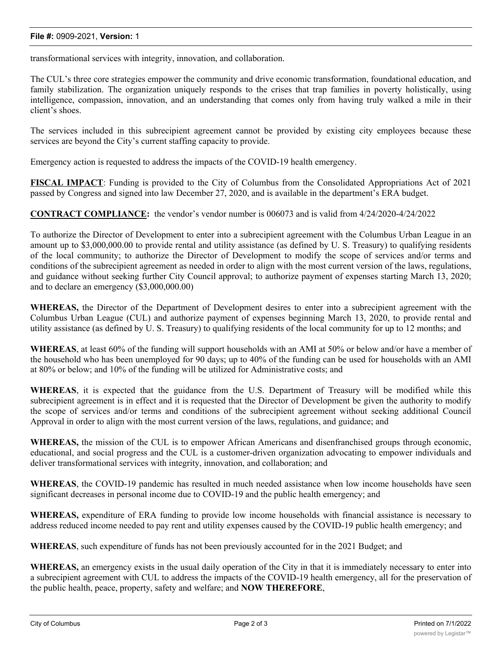## **File #:** 0909-2021, **Version:** 1

transformational services with integrity, innovation, and collaboration.

The CUL's three core strategies empower the community and drive economic transformation, foundational education, and family stabilization. The organization uniquely responds to the crises that trap families in poverty holistically, using intelligence, compassion, innovation, and an understanding that comes only from having truly walked a mile in their client's shoes.

The services included in this subrecipient agreement cannot be provided by existing city employees because these services are beyond the City's current staffing capacity to provide.

Emergency action is requested to address the impacts of the COVID-19 health emergency.

**FISCAL IMPACT**: Funding is provided to the City of Columbus from the Consolidated Appropriations Act of 2021 passed by Congress and signed into law December 27, 2020, and is available in the department's ERA budget.

**CONTRACT COMPLIANCE:** the vendor's vendor number is 006073 and is valid from 4/24/2020-4/24/2022

To authorize the Director of Development to enter into a subrecipient agreement with the Columbus Urban League in an amount up to \$3,000,000.00 to provide rental and utility assistance (as defined by U. S. Treasury) to qualifying residents of the local community; to authorize the Director of Development to modify the scope of services and/or terms and conditions of the subrecipient agreement as needed in order to align with the most current version of the laws, regulations, and guidance without seeking further City Council approval; to authorize payment of expenses starting March 13, 2020; and to declare an emergency (\$3,000,000.00)

**WHEREAS,** the Director of the Department of Development desires to enter into a subrecipient agreement with the Columbus Urban League (CUL) and authorize payment of expenses beginning March 13, 2020, to provide rental and utility assistance (as defined by U. S. Treasury) to qualifying residents of the local community for up to 12 months; and

**WHEREAS**, at least 60% of the funding will support households with an AMI at 50% or below and/or have a member of the household who has been unemployed for 90 days; up to 40% of the funding can be used for households with an AMI at 80% or below; and 10% of the funding will be utilized for Administrative costs; and

**WHEREAS**, it is expected that the guidance from the U.S. Department of Treasury will be modified while this subrecipient agreement is in effect and it is requested that the Director of Development be given the authority to modify the scope of services and/or terms and conditions of the subrecipient agreement without seeking additional Council Approval in order to align with the most current version of the laws, regulations, and guidance; and

**WHEREAS,** the mission of the CUL is to empower African Americans and disenfranchised groups through economic, educational, and social progress and the CUL is a customer-driven organization advocating to empower individuals and deliver transformational services with integrity, innovation, and collaboration; and

**WHEREAS**, the COVID-19 pandemic has resulted in much needed assistance when low income households have seen significant decreases in personal income due to COVID-19 and the public health emergency; and

**WHEREAS,** expenditure of ERA funding to provide low income households with financial assistance is necessary to address reduced income needed to pay rent and utility expenses caused by the COVID-19 public health emergency; and

**WHEREAS**, such expenditure of funds has not been previously accounted for in the 2021 Budget; and

**WHEREAS,** an emergency exists in the usual daily operation of the City in that it is immediately necessary to enter into a subrecipient agreement with CUL to address the impacts of the COVID-19 health emergency, all for the preservation of the public health, peace, property, safety and welfare; and **NOW THEREFORE**,